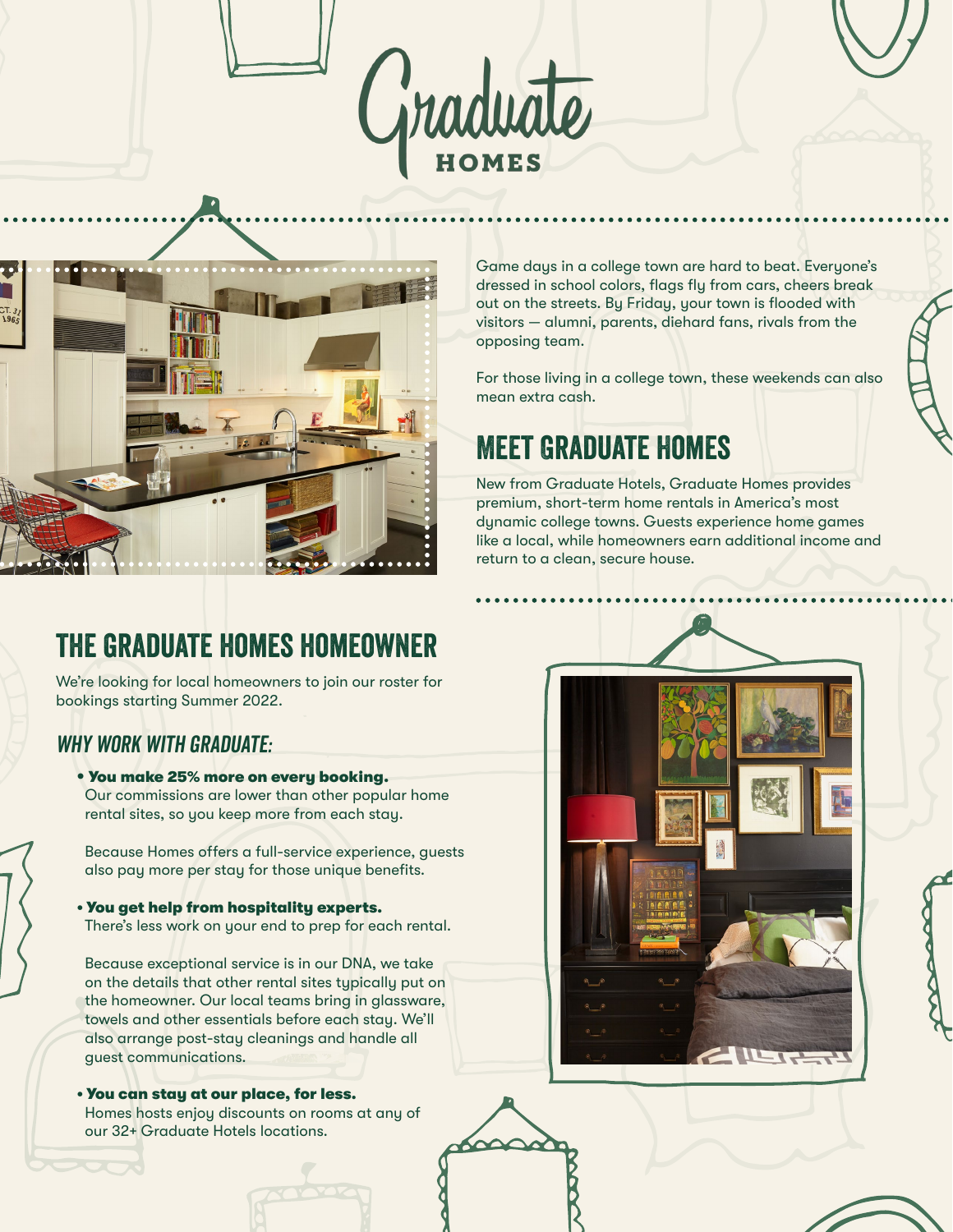



Game days in a college town are hard to beat. Everyone's dressed in school colors, flags fly from cars, cheers break out on the streets. By Friday, your town is flooded with visitors — alumni, parents, diehard fans, rivals from the opposing team.

For those living in a college town, these weekends can also mean extra cash.

# Meet Graduate Homes

New from Graduate Hotels, Graduate Homes provides premium, short-term home rentals in America's most dynamic college towns. Guests experience home games like a local, while homeowners earn additional income and return to a clean, secure house.

## the graduate homes homeowner

We're looking for local homeowners to join our roster for bookings starting Summer 2022.

#### WHY WORK WITH GRADUATE:

• You make 25% more on every booking. Our commissions are lower than other popular home rental sites, so you keep more from each stay.

 Because Homes offers a full-service experience, guests also pay more per stay for those unique benefits.

• You get help from hospitality experts. There's less work on your end to prep for each rental.

 Because exceptional service is in our DNA, we take on the details that other rental sites typically put on the homeowner. Our local teams bring in glassware, towels and other essentials before each stay. We'll also arrange post-stay cleanings and handle all guest communications.

• You can stay at our place, for less. Homes hosts enjoy discounts on rooms at any of our 32+ Graduate Hotels locations.